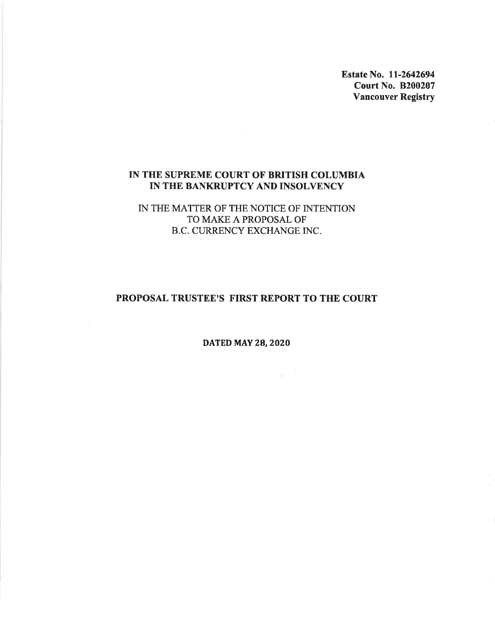Estate No. 11-2642694 **Court No. B200207 Vancouver Registry** 

# IN THE SUPREME COURT OF BRITISH COLUMBIA IN THE BANKRUPTCY AND INSOLVENCY

IN THE MATTER OF THE NOTICE OF INTENTION TO MAKE A PROPOSAL OF B.C. CURRENCY EXCHANGE INC.

# PROPOSAL TRUSTEE'S FIRST REPORT TO THE COURT

**DATED MAY 28, 2020** 

 $\frac{1}{3}$  –  $\frac{R}{3}$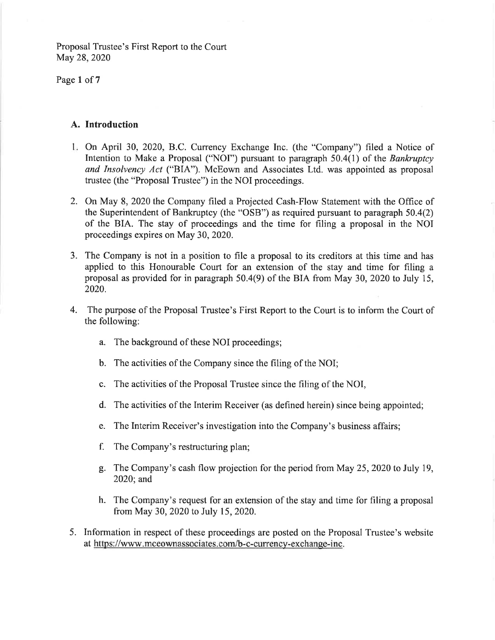Page 1 of 7

# A. Introduction

- 1. On April 30, 2020, B.C. Currency Exchange Inc. (the "Company") filed a Notice of Intention to Make a Proposal ("NOI") pursuant to paragraph 50.4(1) of the Bankruptcy and Insolvency Act ("BIA"). McEown and Associates Ltd. was appointed as proposal trustee (the "Proposal Trustee") in the NOI proceedings.
- 2. On May 8, 2020 the Company filed a Projected Cash-Flow Statement with the Office of the Superintendent of Bankruptcy (the "OSB") as required pursuant to paragraph 50.4(2) of the BIA. The stay of proceedings and the time for filing a proposal in the NOI proceedings expires on May 30, 2020.
- 3. The Company is not in a position to file a proposal to its creditors at this time and has applied to this Honourable Court for an extension of the stay and time for filing a proposal as provided for in paragraph 50.4(9) of the BIA from May 30, 2020 to July 15, 2020.
- 4. The purpose of the Proposal Trustee's First Report to the Court is to inform the Court of the following:
	- a. The background of these NOI proceedings;
	- b. The activities of the Company since the filing of the NOI;
	- c. The activities of the Proposal Trustee since the filing of the NOI,
	- d. The activities of the Interim Receiver (as defined herein) since being appointed;
	- e. The Interim Receiver's investigation into the Company's business affairs;
	- f. The Company's restructuring plan;
	- g. The Company's cash flow projection for the period from May 25, 2020 to July 19, 2020; and
	- h. The Company's request for an extension of the stay and time for filing a proposal from May 30, 2020 to July 15, 2020.
- 5. Information in respect of these proceedings are posted on the Proposal Trustee's website at https://www.mceownassociates.com/b-c-currency-exchange-inc.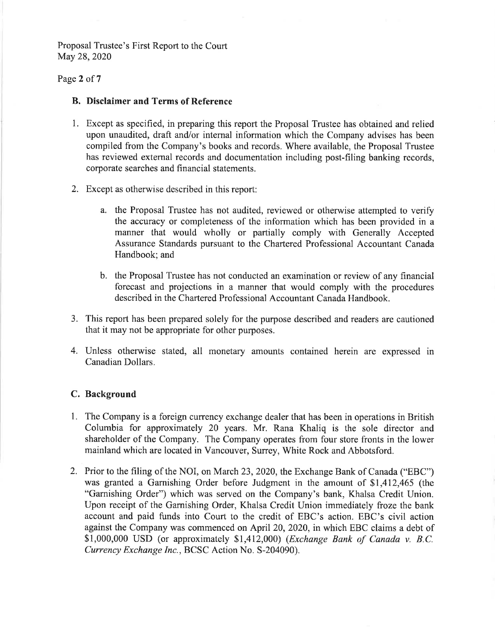# Page 2 of 7

## **B.** Disclaimer and Terms of Reference

- 1. Except as specified, in preparing this report the Proposal Trustee has obtained and relied upon unaudited, draft and/or internal information which the Company advises has been compiled from the Company's books and records. Where available, the Proposal Trustee has reviewed external records and documentation including post-filing banking records, corporate searches and financial statements.
- 2. Except as otherwise described in this report:
	- a. the Proposal Trustee has not audited, reviewed or otherwise attempted to verify the accuracy or completeness of the information which has been provided in a manner that would wholly or partially comply with Generally Accepted Assurance Standards pursuant to the Chartered Professional Accountant Canada Handbook; and
	- b. the Proposal Trustee has not conducted an examination or review of any financial forecast and projections in a manner that would comply with the procedures described in the Chartered Professional Accountant Canada Handbook.
- 3. This report has been prepared solely for the purpose described and readers are cautioned that it may not be appropriate for other purposes.
- 4. Unless otherwise stated, all monetary amounts contained herein are expressed in Canadian Dollars.

# C. Background

- 1. The Company is a foreign currency exchange dealer that has been in operations in British Columbia for approximately 20 years. Mr. Rana Khaliq is the sole director and shareholder of the Company. The Company operates from four store fronts in the lower mainland which are located in Vancouver, Surrey, White Rock and Abbotsford.
- 2. Prior to the filing of the NOI, on March 23, 2020, the Exchange Bank of Canada ("EBC") was granted a Garnishing Order before Judgment in the amount of \$1,412,465 (the "Garnishing Order") which was served on the Company's bank, Khalsa Credit Union. Upon receipt of the Garnishing Order, Khalsa Credit Union immediately froze the bank account and paid funds into Court to the credit of EBC's action. EBC's civil action against the Company was commenced on April 20, 2020, in which EBC claims a debt of \$1,000,000 USD (or approximately \$1,412,000) (*Exchange Bank of Canada v. B.C.* Currency Exchange Inc., BCSC Action No. S-204090).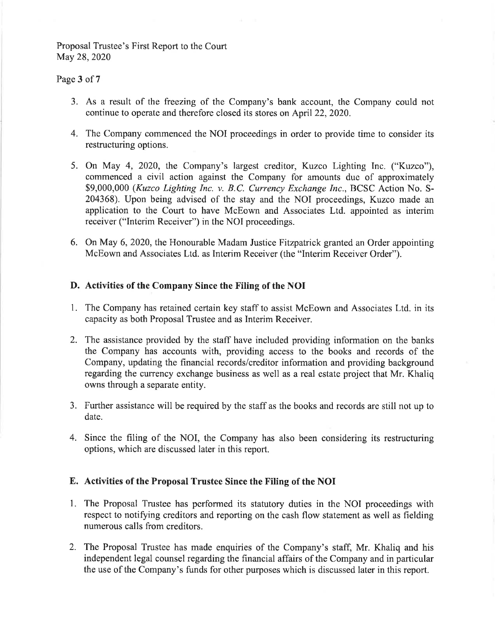## Page 3 of 7

- 3. As a result of the freezing of the Company's bank account, the Company could not continue to operate and therefore closed its stores on April 22, 2020.
- 4. The Company commenced the NOI proceedings in order to provide time to consider its restructuring options.
- 5. On May 4, 2020, the Company's largest creditor, Kuzco Lighting Inc. ("Kuzco"), commenced a civil action against the Company for amounts due of approximately \$9,000,000 (Kuzco Lighting Inc. v. B.C. Currency Exchange Inc., BCSC Action No. S-204368). Upon being advised of the stay and the NOI proceedings, Kuzco made an application to the Court to have McEown and Associates Ltd. appointed as interim receiver ("Interim Receiver") in the NOI proceedings.
- 6. On May 6, 2020, the Honourable Madam Justice Fitzpatrick granted an Order appointing McEown and Associates Ltd. as Interim Receiver (the "Interim Receiver Order").

# D. Activities of the Company Since the Filing of the NOI

- 1. The Company has retained certain key staff to assist McEown and Associates Ltd. in its capacity as both Proposal Trustee and as Interim Receiver.
- 2. The assistance provided by the staff have included providing information on the banks the Company has accounts with, providing access to the books and records of the Company, updating the financial records/creditor information and providing background regarding the currency exchange business as well as a real estate project that Mr. Khaliq owns through a separate entity.
- 3. Further assistance will be required by the staff as the books and records are still not up to date.
- 4. Since the filing of the NOI, the Company has also been considering its restructuring options, which are discussed later in this report.

#### E. Activities of the Proposal Trustee Since the Filing of the NOI

- 1. The Proposal Trustee has performed its statutory duties in the NOI proceedings with respect to notifying creditors and reporting on the cash flow statement as well as fielding numerous calls from creditors.
- 2. The Proposal Trustee has made enquiries of the Company's staff, Mr. Khaliq and his independent legal counsel regarding the financial affairs of the Company and in particular the use of the Company's funds for other purposes which is discussed later in this report.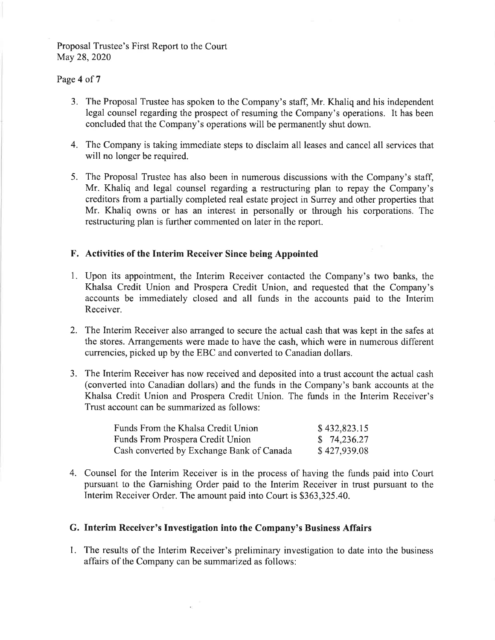#### Page 4 of 7

- 3. The Proposal Trustee has spoken to the Company's staff, Mr. Khaliq and his independent legal counsel regarding the prospect of resuming the Company's operations. It has been concluded that the Company's operations will be permanently shut down.
- 4. The Company is taking immediate steps to disclaim all leases and cancel all services that will no longer be required.
- 5. The Proposal Trustee has also been in numerous discussions with the Company's staff, Mr. Khaliq and legal counsel regarding a restructuring plan to repay the Company's creditors from a partially completed real estate project in Surrey and other properties that Mr. Khaliq owns or has an interest in personally or through his corporations. The restructuring plan is further commented on later in the report.

## F. Activities of the Interim Receiver Since being Appointed

- 1. Upon its appointment, the Interim Receiver contacted the Company's two banks, the Khalsa Credit Union and Prospera Credit Union, and requested that the Company's accounts be immediately closed and all funds in the accounts paid to the Interim Receiver.
- 2. The Interim Receiver also arranged to secure the actual cash that was kept in the safes at the stores. Arrangements were made to have the cash, which were in numerous different currencies, picked up by the EBC and converted to Canadian dollars.
- 3. The Interim Receiver has now received and deposited into a trust account the actual cash (converted into Canadian dollars) and the funds in the Company's bank accounts at the Khalsa Credit Union and Prospera Credit Union. The funds in the Interim Receiver's Trust account can be summarized as follows:

| Funds From the Khalsa Credit Union        | \$432,823.15 |
|-------------------------------------------|--------------|
| Funds From Prospera Credit Union          | \$74,236.27  |
| Cash converted by Exchange Bank of Canada | \$427,939.08 |

4. Counsel for the Interim Receiver is in the process of having the funds paid into Court pursuant to the Garnishing Order paid to the Interim Receiver in trust pursuant to the Interim Receiver Order. The amount paid into Court is \$363,325.40.

#### G. Interim Receiver's Investigation into the Company's Business Affairs

1. The results of the Interim Receiver's preliminary investigation to date into the business affairs of the Company can be summarized as follows: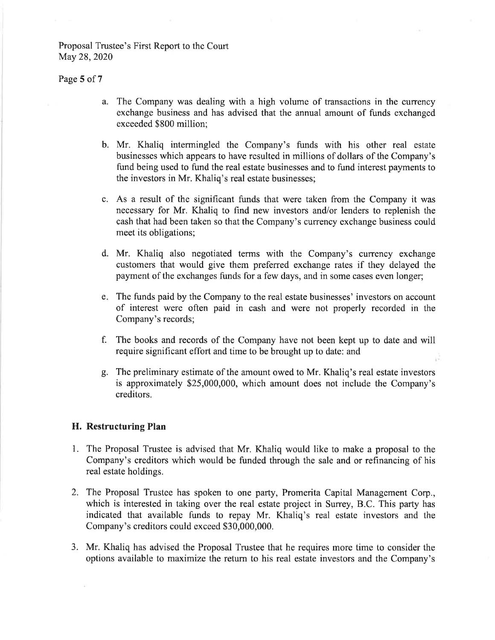#### Page 5 of 7

- a. The Company was dealing with a high volume of transactions in the currency exchange business and has advised that the annual amount of funds exchanged exceeded \$800 million:
- b. Mr. Khaliq intermingled the Company's funds with his other real estate businesses which appears to have resulted in millions of dollars of the Company's fund being used to fund the real estate businesses and to fund interest payments to the investors in Mr. Khaliq's real estate businesses;
- c. As a result of the significant funds that were taken from the Company it was necessary for Mr. Khaliq to find new investors and/or lenders to replenish the cash that had been taken so that the Company's currency exchange business could meet its obligations;
- d. Mr. Khaliq also negotiated terms with the Company's currency exchange customers that would give them preferred exchange rates if they delayed the payment of the exchanges funds for a few days, and in some cases even longer;
- e. The funds paid by the Company to the real estate businesses' investors on account of interest were often paid in cash and were not properly recorded in the Company's records;
- f. The books and records of the Company have not been kept up to date and will require significant effort and time to be brought up to date: and
- g. The preliminary estimate of the amount owed to Mr. Khaliq's real estate investors is approximately \$25,000,000, which amount does not include the Company's creditors.

### H. Restructuring Plan

- 1. The Proposal Trustee is advised that Mr. Khaliq would like to make a proposal to the Company's creditors which would be funded through the sale and or refinancing of his real estate holdings.
- 2. The Proposal Trustee has spoken to one party, Promerita Capital Management Corp., which is interested in taking over the real estate project in Surrey, B.C. This party has indicated that available funds to repay Mr. Khaliq's real estate investors and the Company's creditors could exceed \$30,000,000.
- 3. Mr. Khaliq has advised the Proposal Trustee that he requires more time to consider the options available to maximize the return to his real estate investors and the Company's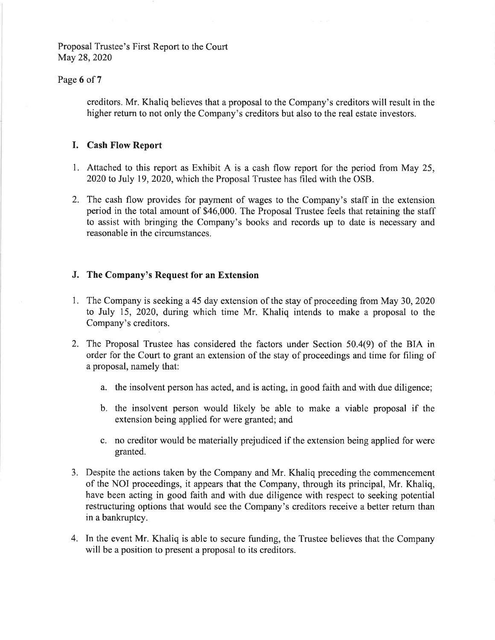## Page 6 of 7

creditors. Mr. Khaliq believes that a proposal to the Company's creditors will result in the higher return to not only the Company's creditors but also to the real estate investors.

## **I.** Cash Flow Report

- 1. Attached to this report as Exhibit A is a cash flow report for the period from May 25, 2020 to July 19, 2020, which the Proposal Trustee has filed with the OSB.
- 2. The cash flow provides for payment of wages to the Company's staff in the extension period in the total amount of \$46,000. The Proposal Trustee feels that retaining the staff to assist with bringing the Company's books and records up to date is necessary and reasonable in the circumstances.

## J. The Company's Request for an Extension

- 1. The Company is seeking a 45 day extension of the stay of proceeding from May 30, 2020 to July 15, 2020, during which time Mr. Khaliq intends to make a proposal to the Company's creditors.
- 2. The Proposal Trustee has considered the factors under Section 50.4(9) of the BIA in order for the Court to grant an extension of the stay of proceedings and time for filing of a proposal, namely that:
	- a. the insolvent person has acted, and is acting, in good faith and with due diligence;
	- b. the insolvent person would likely be able to make a viable proposal if the extension being applied for were granted; and
	- c. no creditor would be materially prejudiced if the extension being applied for were granted.
- 3. Despite the actions taken by the Company and Mr. Khaliq preceding the commencement of the NOI proceedings, it appears that the Company, through its principal, Mr. Khaliq, have been acting in good faith and with due diligence with respect to seeking potential restructuring options that would see the Company's creditors receive a better return than in a bankruptcy.
- 4. In the event Mr. Khaliq is able to secure funding, the Trustee believes that the Company will be a position to present a proposal to its creditors.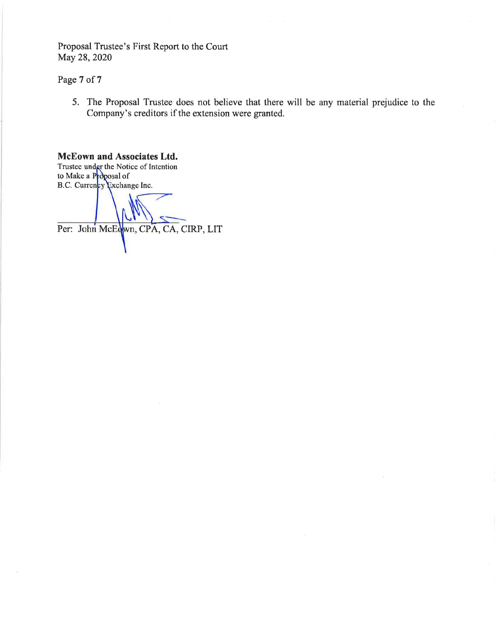Page 7 of 7

5. The Proposal Trustee does not believe that there will be any material prejudice to the Company's creditors if the extension were granted.

## McEown and Associates Ltd.

Trustee under the Notice of Intention<br>to Make a Proposal of B.C. Currency Exchange Inc.

Per: John McEdwn, CPA, CA, CIRP, LIT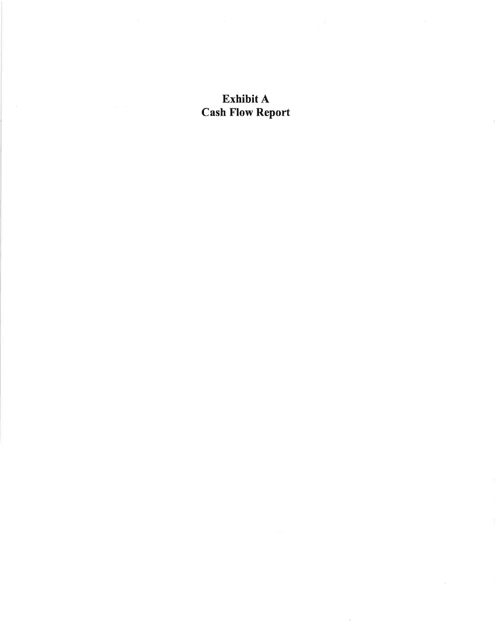# Exhibit A **Cash Flow Report**

 $\Delta$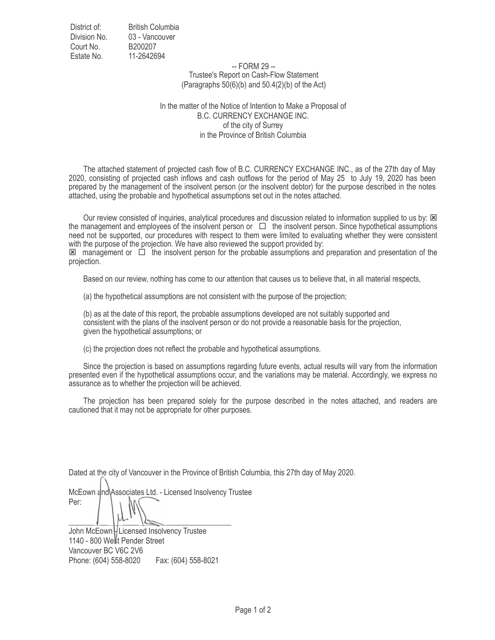District of: Division No. Court No. Estate No. British Columbia 03 - Vancouver B200207 11-2642694

> -- FORM 29 -- Trustee's Report on Cash-Flow Statement (Paragraphs  $50(6)(b)$  and  $50.4(2)(b)$  of the Act)

In the matter of the Notice of Intention to Make a Proposal of B.C. CURRENCY EXCHANGE INC. of the city of Surrey in the Province of British Columbia

 The attached statement of projected cash flow of B.C. CURRENCY EXCHANGE INC., as of the 27th day of May 2020, consisting of projected cash inflows and cash outflows for the period of May 25 to July 19, 2020 has been prepared by the management of the insolvent person (or the insolvent debtor) for the purpose described in the notes attached, using the probable and hypothetical assumptions set out in the notes attached.

Our review consisted of inquiries, analytical procedures and discussion related to information supplied to us by: 图 the management and employees of the insolvent person or  $\Box$  the insolvent person. Since hypothetical assumptions need not be supported, our procedures with respect to them were limited to evaluating whether they were consistent with the purpose of the projection. We have also reviewed the support provided by:

 $\boxtimes$  management or  $\Box$  the insolvent person for the probable assumptions and preparation and presentation of the projection.

Based on our review, nothing has come to our attention that causes us to believe that, in all material respects,

(a) the hypothetical assumptions are not consistent with the purpose of the projection;

 (b) as at the date of this report, the probable assumptions developed are not suitably supported and consistent with the plans of the insolvent person or do not provide a reasonable basis for the projection, given the hypothetical assumptions; or

(c) the projection does not reflect the probable and hypothetical assumptions.

 Since the projection is based on assumptions regarding future events, actual results will vary from the information presented even if the hypothetical assumptions occur, and the variations may be material. Accordingly, we express no assurance as to whether the projection will be achieved.

 The projection has been prepared solely for the purpose described in the notes attached, and readers are cautioned that it may not be appropriate for other purposes.

Dated at the city of Vancouver in the Province of British Columbia, this 27th day of May 2020.

McEown and Associates Ltd. - Licensed Insolvency Trustee Per:  $\frac{1}{\sqrt{2\pi}}$  $\frac{1}{\sqrt{2}}$ 

John McEown | Licensed Insolvency Trustee 1140 - 800 We<sup>ll</sup>t Pender Street Vancouver BC V6C 2V6 Phone: (604) 558-8020 Fax: (604) 558-8021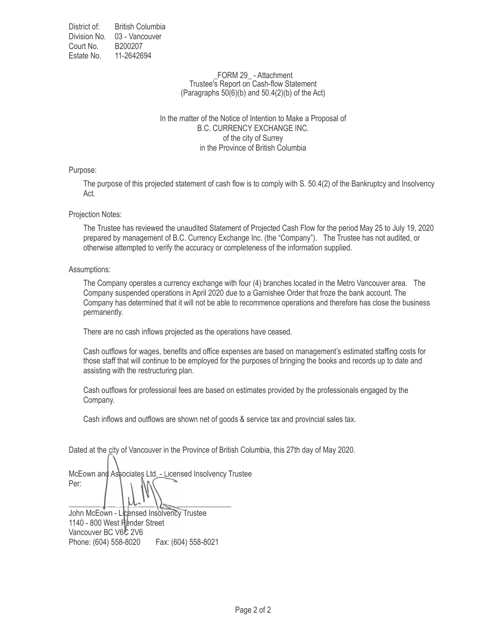District of: Division No. 03 - Vancouver Court No. Estate No. 11-2642694 British Columbia B200207

#### FORM 29 - Attachment Trustee's Report on Cash-flow Statement (Paragraphs  $50(6)(b)$  and  $50.4(2)(b)$  of the Act)

#### In the matter of the Notice of Intention to Make a Proposal of B.C. CURRENCY EXCHANGE INC. of the city of Surrey in the Province of British Columbia

Purpose:

The purpose of this projected statement of cash flow is to comply with S. 50.4(2) of the Bankruptcy and Insolvency Act.

Projection Notes:

The Trustee has reviewed the unaudited Statement of Projected Cash Flow for the period May 25 to July 19, 2020 prepared by management of B.C. Currency Exchange Inc. (the "Company"). The Trustee has not audited, or otherwise attempted to verify the accuracy or completeness of the information supplied.

Assumptions:

The Company operates a currency exchange with four (4) branches located in the Metro Vancouver area. The Company suspended operations in April 2020 due to a Garnishee Order that froze the bank account. The Company has determined that it will not be able to recommence operations and therefore has close the business permanently.

There are no cash inflows projected as the operations have ceased.

Cash outflows for wages, benefits and office expenses are based on management's estimated staffing costs for those staff that will continue to be employed for the purposes of bringing the books and records up to date and assisting with the restructuring plan.

Cash outflows for professional fees are based on estimates provided by the professionals engaged by the Company.

Cash inflows and outflows are shown net of goods & service tax and provincial sales tax.

Dated at the city of Vancouver in the Province of British Columbia, this 27th day of May 2020.

McEown and Associates Ltd. - Licensed Insolvency Trustee Per:

 $\left| \begin{array}{cc} \mu_{1} & \mu_{2} \end{array} \right|$ John McEown - Licensed Insolvency Trustee 1140 - 800 West Pender Street Vancouver BC V6C 2V6 Phone: (604) 558-8020 Fax: (604) 558-8021  $\vert \mu_{\cdot} \vert_{\cdot}$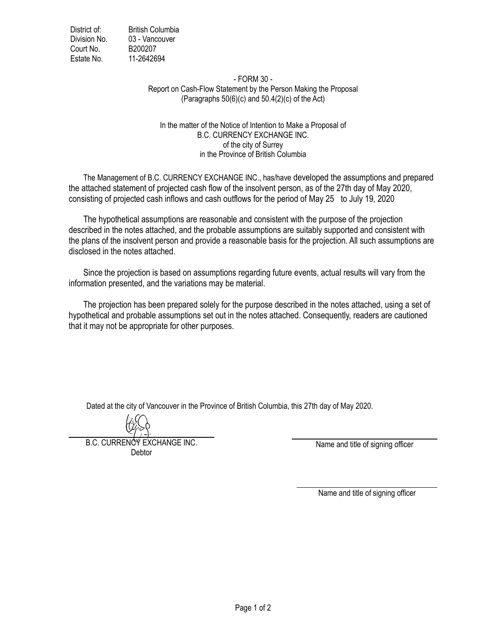District of: **British Columbia** Division No. 03 - Vancouver Court No. B200207 Estate No. 11-2642694

#### - FORM 30 -Report on Cash-Flow Statement by the Person Making the Proposal (Paragraphs  $50(6)(c)$  and  $50.4(2)(c)$  of the Act)

# In the matter of the Notice of Intention to Make a Proposal of B.C. CURRENCY EXCHANGE INC. of the city of Surrey in the Province of British Columbia

The Management of B.C. CURRENCY EXCHANGE INC., has/have developed the assumptions and prepared the attached statement of projected cash flow of the insolvent person, as of the 27th day of May 2020, consisting of projected cash inflows and cash outflows for the period of May 25 to July 19, 2020

The hypothetical assumptions are reasonable and consistent with the purpose of the projection described in the notes attached, and the probable assumptions are suitably supported and consistent with the plans of the insolvent person and provide a reasonable basis for the projection. All such assumptions are disclosed in the notes attached.

Since the projection is based on assumptions regarding future events, actual results will vary from the information presented, and the variations may be material.

The projection has been prepared solely for the purpose described in the notes attached, using a set of hypothetical and probable assumptions set out in the notes attached. Consequently, readers are cautioned that it may not be appropriate for other purposes.

Dated at the city of Vancouver in the Province of British Columbia, this 27th day of May 2020.

**B.C. CURRENCY EXCHANGE INC.** Debtor

Name and title of signing officer

Name and title of signing officer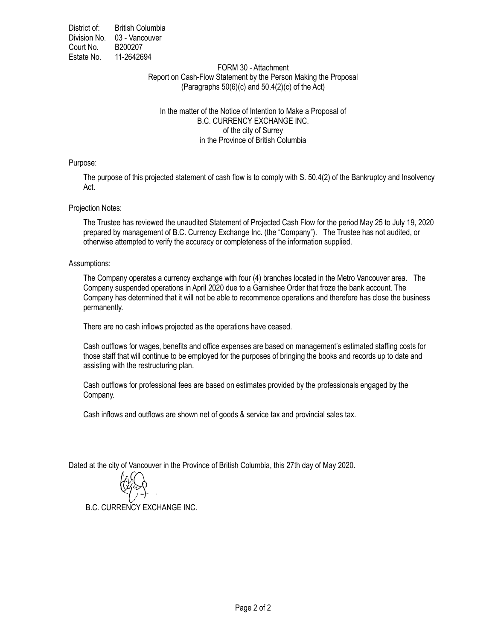District of: **British Columbia** Division No. 03 - Vancouver Court No. B200207 Estate No. 11-2642694

#### FORM 30 - Attachment Report on Cash-Flow Statement by the Person Making the Proposal (Paragraphs  $50(6)(c)$  and  $50.4(2)(c)$  of the Act)

#### In the matter of the Notice of Intention to Make a Proposal of **B.C. CURRENCY EXCHANGE INC.** of the city of Surrey in the Province of British Columbia

Purpose:

The purpose of this projected statement of cash flow is to comply with S. 50.4(2) of the Bankruptcy and Insolvency Act.

#### Projection Notes:

The Trustee has reviewed the unaudited Statement of Projected Cash Flow for the period May 25 to July 19, 2020 prepared by management of B.C. Currency Exchange Inc. (the "Company"). The Trustee has not audited, or otherwise attempted to verify the accuracy or completeness of the information supplied.

#### Assumptions:

The Company operates a currency exchange with four (4) branches located in the Metro Vancouver area. The Company suspended operations in April 2020 due to a Garnishee Order that froze the bank account. The Company has determined that it will not be able to recommence operations and therefore has close the business permanently.

There are no cash inflows projected as the operations have ceased.

Cash outflows for wages, benefits and office expenses are based on management's estimated staffing costs for those staff that will continue to be employed for the purposes of bringing the books and records up to date and assisting with the restructuring plan.

Cash outflows for professional fees are based on estimates provided by the professionals engaged by the Company.

Cash inflows and outflows are shown net of goods & service tax and provincial sales tax.

Dated at the city of Vancouver in the Province of British Columbia, this 27th day of May 2020.



**B.C. CURRENCY EXCHANGE INC.**